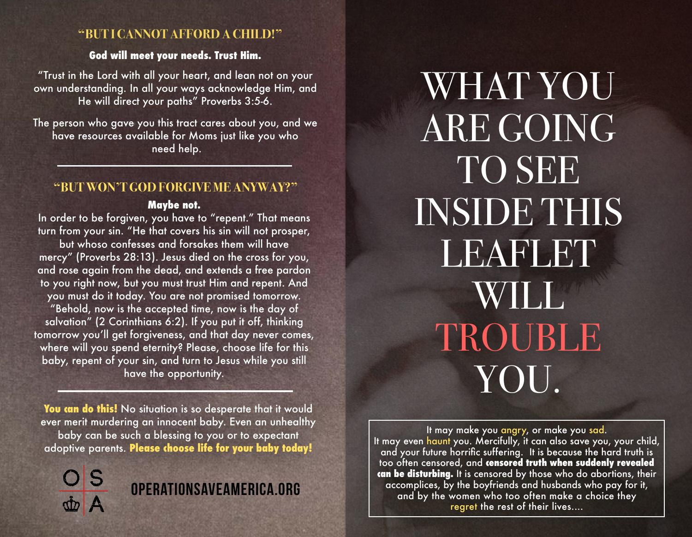### **"BUT I CANNOT AFFORD A CHILD!"**

#### **God will meet your needs. Trust Him.**

"Trust in the Lord with all your heart, and lean not on your own understanding. In all your ways acknowledge Him, and He will direct your paths" Proverbs 3:5-6.

The person who gave you this tract cares about you, and we have resources available for Moms just like you who need help.

#### **"BUT WON'T GOD FORGIVE ME ANYWAY?"**

#### **Maybe not.**

In order to be forgiven, you have to "repent." That means turn from your sin. "He that covers his sin will not prosper, but whoso confesses and forsakes them will have mercy" (Proverbs 28:13). Jesus died on the cross for you, and rose again from the dead, and extends a free pardon to you right now, but you must trust Him and repent. And you must do it today. You are not promised tomorrow. "Behold, now is the accepted time, now is the day of salvation" (2 Corinthians 6:2). If you put it off, thinking tomorrow you'll get forgiveness, and that day never comes, where will you spend eternity? Please, choose life for this baby, repent of your sin, and turn to Jesus while you still have the opportunity.

You can do this! No situation is so desperate that it would ever merit murdering an innocent baby. Even an unhealthy baby can be such a blessing to you or to expectant adoptive parents. **Please choose life for your baby today!**



# OperationSaveAmerica.org

WHAT YOU ARE GOING TO SEE INSIDE THIS LEAFLET WILL TROUBLE YOU.

It may make you angry, or make you sad. It may even haunt you. Mercifully, it can also save you, your child, and your future horrific suffering. It is because the hard truth is too often censored, and **censored truth when suddenly revealed can be disturbing.** It is censored by those who do abortions, their accomplices, by the boyfriends and husbands who pay for it, and by the women who too often make a choice they regret the rest of their lives....